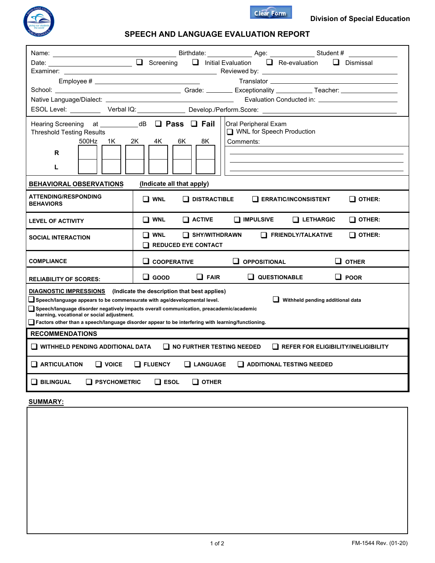



## **SPEECH AND LANGUAGE EVALUATION REPORT**

| Name: will be a series of the contract of the contract of the contract of the contract of the contract of the contract of the contract of the contract of the contract of the contract of the contract of the contract of the                                                                                                                                                                                                            | Example 2014 and Suite Birthdate: Law Lange Age: Law Languard Student #                                                                                                                                                                   |  |  |  |  |  |  |  |  |
|------------------------------------------------------------------------------------------------------------------------------------------------------------------------------------------------------------------------------------------------------------------------------------------------------------------------------------------------------------------------------------------------------------------------------------------|-------------------------------------------------------------------------------------------------------------------------------------------------------------------------------------------------------------------------------------------|--|--|--|--|--|--|--|--|
|                                                                                                                                                                                                                                                                                                                                                                                                                                          | Date: <u>Dismissal</u> Dismissal Dismissal Dismissal Dismissal Dismissal Dismissal                                                                                                                                                        |  |  |  |  |  |  |  |  |
| Examiner: ___________                                                                                                                                                                                                                                                                                                                                                                                                                    | <b>Example 2018</b> Reviewed by: <u>the contract of the contract of the contract of the contract of the contract of the contract of the contract of the contract of the contract of the contract of the contract of the contract of t</u> |  |  |  |  |  |  |  |  |
| Emplovee #                                                                                                                                                                                                                                                                                                                                                                                                                               |                                                                                                                                                                                                                                           |  |  |  |  |  |  |  |  |
|                                                                                                                                                                                                                                                                                                                                                                                                                                          |                                                                                                                                                                                                                                           |  |  |  |  |  |  |  |  |
|                                                                                                                                                                                                                                                                                                                                                                                                                                          |                                                                                                                                                                                                                                           |  |  |  |  |  |  |  |  |
| ESOL Level: ____________ Verbal IQ: _______________ Develop./Perform.Score: _______________________                                                                                                                                                                                                                                                                                                                                      |                                                                                                                                                                                                                                           |  |  |  |  |  |  |  |  |
| Hearing Screening at ____________ dB __ <b>___ Pass ___ Fail</b><br><b>Threshold Testing Results</b>                                                                                                                                                                                                                                                                                                                                     | Oral Peripheral Exam<br>□ WNL for Speech Production                                                                                                                                                                                       |  |  |  |  |  |  |  |  |
| 1K -<br>500Hz<br>R                                                                                                                                                                                                                                                                                                                                                                                                                       | 2K<br>4K<br>6K<br>8K<br>Comments:                                                                                                                                                                                                         |  |  |  |  |  |  |  |  |
| L                                                                                                                                                                                                                                                                                                                                                                                                                                        |                                                                                                                                                                                                                                           |  |  |  |  |  |  |  |  |
| (Indicate all that apply)<br><b>BEHAVIORAL OBSERVATIONS</b>                                                                                                                                                                                                                                                                                                                                                                              |                                                                                                                                                                                                                                           |  |  |  |  |  |  |  |  |
| <b>ATTENDING/RESPONDING</b><br><b>BEHAVIORS</b>                                                                                                                                                                                                                                                                                                                                                                                          | $\square$ WNL<br>$\Box$ DISTRACTIBLE $\Box$ ERRATIC/INCONSISTENT<br>$\Box$ other:                                                                                                                                                         |  |  |  |  |  |  |  |  |
| <b>LEVEL OF ACTIVITY</b>                                                                                                                                                                                                                                                                                                                                                                                                                 | $\Box$ WNL<br>$\Box$ active<br>$\Box$ IMPULSIVE<br>$\Box$ LETHARGIC<br>$\square$ other:                                                                                                                                                   |  |  |  |  |  |  |  |  |
| <b>SOCIAL INTERACTION</b>                                                                                                                                                                                                                                                                                                                                                                                                                | $\Box$ SHY/WITHDRAWN<br>$\Box$ WNL<br>$\Box$ FRIENDLY/TALKATIVE<br>$\Box$ other:<br>$\Box$ REDUCED EYE CONTACT                                                                                                                            |  |  |  |  |  |  |  |  |
| <b>COMPLIANCE</b>                                                                                                                                                                                                                                                                                                                                                                                                                        | $\Box$ COOPERATIVE<br>$\Box$ OPPOSITIONAL<br>$\sqcup$ other                                                                                                                                                                               |  |  |  |  |  |  |  |  |
| <b>RELIABILITY OF SCORES:</b>                                                                                                                                                                                                                                                                                                                                                                                                            | $\square$ GOOD<br>$\Box$ FAIR<br>$\Box$ QUESTIONABLE<br>$\Box$ POOR                                                                                                                                                                       |  |  |  |  |  |  |  |  |
| DIAGNOSTIC IMPRESSIONS (Indicate the description that best applies)<br>$\Box$ Speech/language appears to be commensurate with age/developmental level.<br>Withheld pending additional data<br>Speech/language disorder negatively impacts overall communication, preacademic/academic<br>learning, vocational or social adjustment.<br>Factors other than a speech/language disorder appear to be interfering with learning/functioning. |                                                                                                                                                                                                                                           |  |  |  |  |  |  |  |  |
| <b>RECOMMENDATIONS</b>                                                                                                                                                                                                                                                                                                                                                                                                                   |                                                                                                                                                                                                                                           |  |  |  |  |  |  |  |  |
| $\Box$ WITHHELD PENDING ADDITIONAL DATA<br>$\Box$ NO FURTHER TESTING NEEDED<br>$\Box$ REFER FOR ELIGIBILITY/INELIGIBILITY                                                                                                                                                                                                                                                                                                                |                                                                                                                                                                                                                                           |  |  |  |  |  |  |  |  |
| $\Box$ ARTICULATION<br>$\square$ voice<br>$\Box$ FLUENCY<br>$\Box$ LANGUAGE<br>$\Box$ ADDITIONAL TESTING NEEDED                                                                                                                                                                                                                                                                                                                          |                                                                                                                                                                                                                                           |  |  |  |  |  |  |  |  |
| $\square$ bilingual<br>$\Box$ PSYCHOMETRIC<br>$\Box$ ESOL<br>$\Box$ other                                                                                                                                                                                                                                                                                                                                                                |                                                                                                                                                                                                                                           |  |  |  |  |  |  |  |  |

**SUMMARY:**